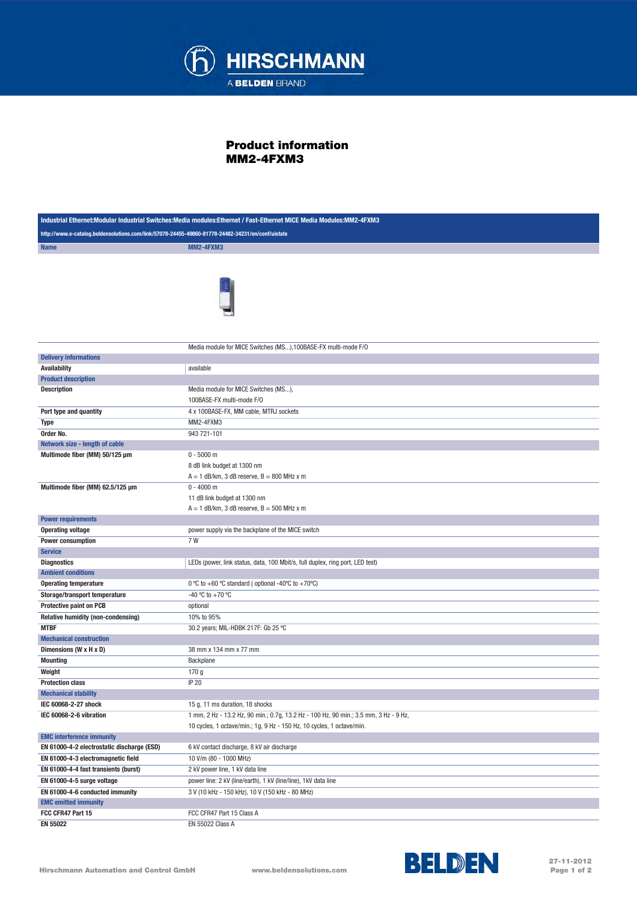

## Product information MM2-4FXM3

| Industrial Ethernet:Modular Industrial Switches:Media modules:Ethernet / Fast-Ethernet MICE Media Modules:MM2-4FXM3 |                                                                                                                                                               |  |
|---------------------------------------------------------------------------------------------------------------------|---------------------------------------------------------------------------------------------------------------------------------------------------------------|--|
| http://www.e-catalog.beldensolutions.com/link/57078-24455-49860-81778-24482-34231/en/conf/uistate                   |                                                                                                                                                               |  |
| <b>Name</b>                                                                                                         | <b>MM2-4FXM3</b>                                                                                                                                              |  |
|                                                                                                                     | Media module for MICE Switches (MS), 100BASE-FX multi-mode F/O                                                                                                |  |
| <b>Delivery informations</b>                                                                                        |                                                                                                                                                               |  |
| <b>Availability</b>                                                                                                 | available                                                                                                                                                     |  |
| <b>Product description</b>                                                                                          |                                                                                                                                                               |  |
| <b>Description</b>                                                                                                  | Media module for MICE Switches (MS),                                                                                                                          |  |
|                                                                                                                     | 100BASE-FX multi-mode F/O                                                                                                                                     |  |
| Port type and quantity                                                                                              | 4 x 100BASE-FX, MM cable, MTRJ sockets                                                                                                                        |  |
| <b>Type</b>                                                                                                         | MM2-4FXM3                                                                                                                                                     |  |
| Order No.                                                                                                           | 943 721-101                                                                                                                                                   |  |
| Network size - length of cable                                                                                      |                                                                                                                                                               |  |
| Multimode fiber (MM) 50/125 µm                                                                                      | $0 - 5000$ m<br>8 dB link budget at 1300 nm<br>$A = 1$ dB/km, 3 dB reserve, $B = 800$ MHz x m                                                                 |  |
| Multimode fiber (MM) 62.5/125 µm                                                                                    | $0 - 4000$ m<br>11 dB link budget at 1300 nm<br>$A = 1$ dB/km, 3 dB reserve, $B = 500$ MHz x m                                                                |  |
| <b>Power requirements</b>                                                                                           |                                                                                                                                                               |  |
| <b>Operating voltage</b>                                                                                            | power supply via the backplane of the MICE switch                                                                                                             |  |
| Power consumption                                                                                                   | 7 W                                                                                                                                                           |  |
| <b>Service</b>                                                                                                      |                                                                                                                                                               |  |
| <b>Diagnostics</b>                                                                                                  | LEDs (power, link status, data, 100 Mbit/s, full duplex, ring port, LED test)                                                                                 |  |
| <b>Ambient conditions</b>                                                                                           |                                                                                                                                                               |  |
| <b>Operating temperature</b>                                                                                        | 0 °C to +60 °C standard ( optional -40°C to +70°C)                                                                                                            |  |
| Storage/transport temperature                                                                                       | -40 °C to +70 °C                                                                                                                                              |  |
| <b>Protective paint on PCB</b>                                                                                      | optional                                                                                                                                                      |  |
| Relative humidity (non-condensing)                                                                                  | 10% to 95%                                                                                                                                                    |  |
| <b>MTBF</b>                                                                                                         | 30.2 years; MIL-HDBK 217F: Gb 25 °C                                                                                                                           |  |
| <b>Mechanical construction</b>                                                                                      |                                                                                                                                                               |  |
| Dimensions (W x H x D)                                                                                              | 38 mm x 134 mm x 77 mm                                                                                                                                        |  |
| <b>Mounting</b>                                                                                                     | Backplane                                                                                                                                                     |  |
| Weight                                                                                                              | 170 g                                                                                                                                                         |  |
| <b>Protection class</b>                                                                                             | IP 20                                                                                                                                                         |  |
| <b>Mechanical stability</b>                                                                                         |                                                                                                                                                               |  |
| IEC 60068-2-27 shock                                                                                                | 15 g, 11 ms duration, 18 shocks                                                                                                                               |  |
| IEC 60068-2-6 vibration                                                                                             | 1 mm, 2 Hz - 13.2 Hz, 90 min.; 0.7g, 13.2 Hz - 100 Hz, 90 min.; 3.5 mm, 3 Hz - 9 Hz,<br>10 cycles, 1 octave/min.; 1g, 9 Hz - 150 Hz, 10 cycles, 1 octave/min. |  |
| <b>EMC interference immunity</b>                                                                                    |                                                                                                                                                               |  |
| EN 61000-4-2 electrostatic discharge (ESD)                                                                          | 6 kV contact discharge, 8 kV air discharge                                                                                                                    |  |
| EN 61000-4-3 electromagnetic field                                                                                  | 10 V/m (80 - 1000 MHz)                                                                                                                                        |  |
| EN 61000-4-4 fast transients (burst)                                                                                | 2 kV power line, 1 kV data line                                                                                                                               |  |
| EN 61000-4-5 surge voltage                                                                                          | power line: 2 kV (line/earth), 1 kV (line/line), 1 kV data line                                                                                               |  |
| EN 61000-4-6 conducted immunity                                                                                     | 3 V (10 kHz - 150 kHz), 10 V (150 kHz - 80 MHz)                                                                                                               |  |
| <b>EMC emitted immunity</b>                                                                                         |                                                                                                                                                               |  |
| FCC CFR47 Part 15                                                                                                   | FCC CFR47 Part 15 Class A                                                                                                                                     |  |
| EN 55022                                                                                                            | EN 55022 Class A                                                                                                                                              |  |